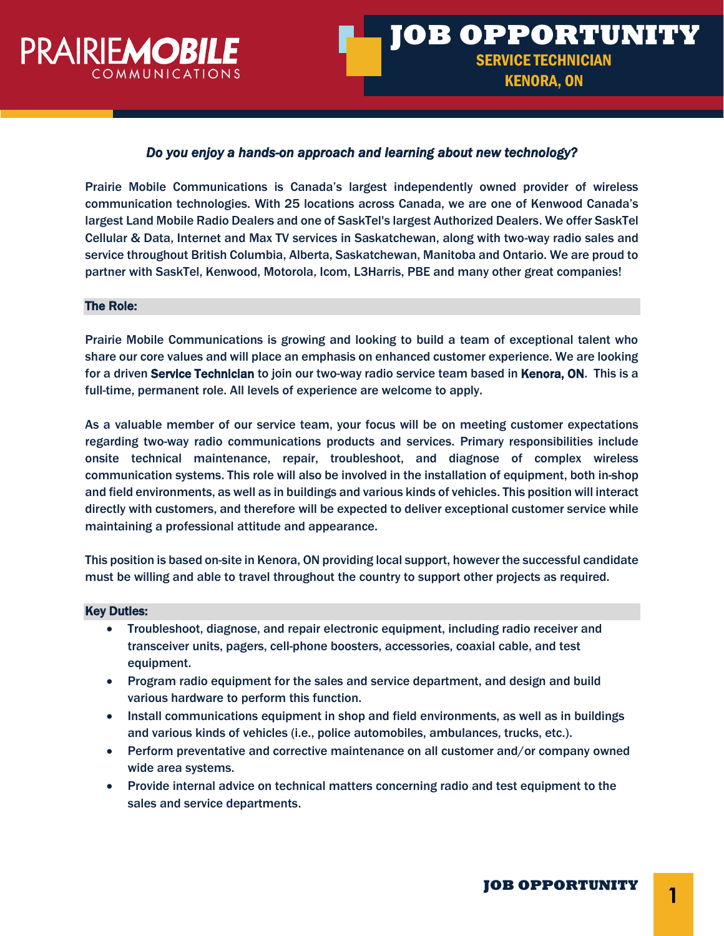

# *Do you enjoy a hands-on approach and learning about new technology?*

Prairie Mobile Communications is Canada's largest independently owned provider of wireless communication technologies. With 25 locations across Canada, we are one of Kenwood Canada's largest Land Mobile Radio Dealers and one of SaskTel's largest Authorized Dealers. We offer SaskTel Cellular & Data, Internet and Max TV services in Saskatchewan, along with two-way radio sales and service throughout British Columbia, Alberta, Saskatchewan, Manitoba and Ontario. We are proud to partner with SaskTel, Kenwood, Motorola, Icom, L3Harris, PBE and many other great companies!

### The Role:

Prairie Mobile Communications is growing and looking to build a team of exceptional talent who share our core values and will place an emphasis on enhanced customer experience. We are looking for a driven **Service Technician** to join our two-way radio service team based in **Kenora, ON**. This is a full-time, permanent role. All levels of experience are welcome to apply.

As a valuable member of our service team, your focus will be on meeting customer expectations regarding two-way radio communications products and services. Primary responsibilities include onsite technical maintenance, repair, troubleshoot, and diagnose of complex wireless communication systems. This role will also be involved in the installation of equipment, both in-shop and field environments, as well as in buildings and various kinds of vehicles. This position will interact directly with customers, and therefore will be expected to deliver exceptional customer service while maintaining a professional attitude and appearance.

This position is based on-site in Kenora, ON providing local support, however the successful candidate must be willing and able to travel throughout the country to support other projects as required.

#### Key Duties:

- Troubleshoot, diagnose, and repair electronic equipment, including radio receiver and transceiver units, pagers, cell-phone boosters, accessories, coaxial cable, and test equipment.
- Program radio equipment for the sales and service department, and design and build various hardware to perform this function.
- Install communications equipment in shop and field environments, as well as in buildings and various kinds of vehicles (i.e., police automobiles, ambulances, trucks, etc.).
- Perform preventative and corrective maintenance on all customer and/or company owned wide area systems.
- Provide internal advice on technical matters concerning radio and test equipment to the sales and service departments.